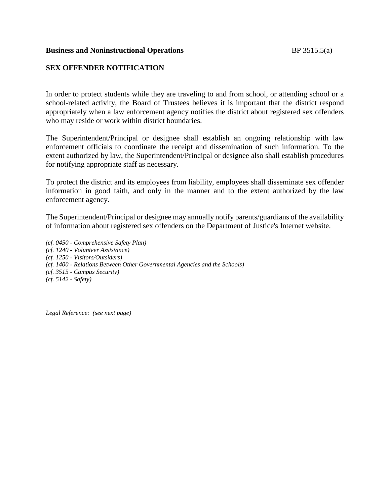#### **Business and Noninstructional Operations** BP 3515.5(a)

# **SEX OFFENDER NOTIFICATION**

In order to protect students while they are traveling to and from school, or attending school or a school-related activity, the Board of Trustees believes it is important that the district respond appropriately when a law enforcement agency notifies the district about registered sex offenders who may reside or work within district boundaries.

The Superintendent/Principal or designee shall establish an ongoing relationship with law enforcement officials to coordinate the receipt and dissemination of such information. To the extent authorized by law, the Superintendent/Principal or designee also shall establish procedures for notifying appropriate staff as necessary.

To protect the district and its employees from liability, employees shall disseminate sex offender information in good faith, and only in the manner and to the extent authorized by the law enforcement agency.

The Superintendent/Principal or designee may annually notify parents/guardians of the availability of information about registered sex offenders on the Department of Justice's Internet website.

*(cf. 0450 - Comprehensive Safety Plan) (cf. 1240 - Volunteer Assistance) (cf. 1250 - Visitors/Outsiders) (cf. 1400 - Relations Between Other Governmental Agencies and the Schools) (cf. 3515 - Campus Security) (cf. 5142 - Safety)*

*Legal Reference: (see next page)*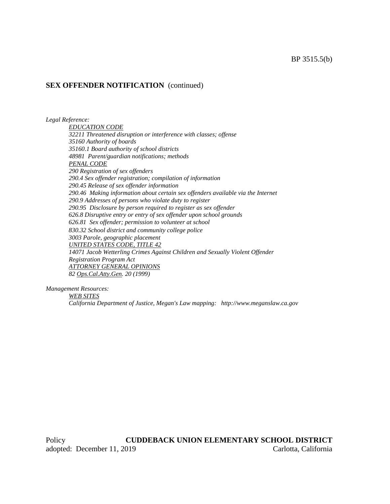### **SEX OFFENDER NOTIFICATION** (continued)

*Legal Reference:*

*EDUCATION CODE 32211 Threatened disruption or interference with classes; offense 35160 Authority of boards 35160.1 Board authority of school districts 48981 Parent/guardian notifications; methods PENAL CODE 290 Registration of sex offenders 290.4 Sex offender registration; compilation of information 290.45 Release of sex offender information 290.46 Making information about certain sex offenders available via the Internet 290.9 Addresses of persons who violate duty to register 290.95 Disclosure by person required to register as sex offender 626.8 Disruptive entry or entry of sex offender upon school grounds 626.81 Sex offender; permission to volunteer at school 830.32 School district and community college police 3003 Parole, geographic placement UNITED STATES CODE, TITLE 42 14071 Jacob Wetterling Crimes Against Children and Sexually Violent Offender Registration Program Act ATTORNEY GENERAL OPINIONS 82 Ops.Cal.Atty.Gen. 20 (1999)*

*Management Resources: WEB SITES*

*California Department of Justice, Megan's Law mapping: http://www.meganslaw.ca.gov*

Policy **CUDDEBACK UNION ELEMENTARY SCHOOL DISTRICT** adopted: December 11, 2019 Carlotta, California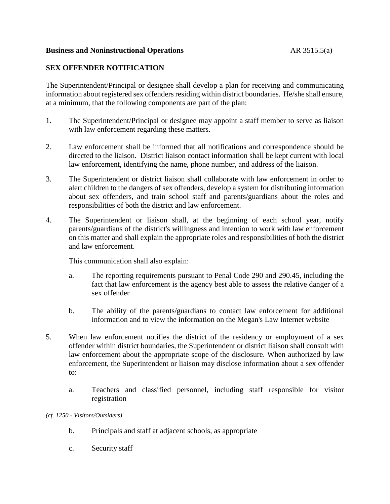### **Business and Noninstructional Operations** AR 3515.5(a)

# **SEX OFFENDER NOTIFICATION**

The Superintendent/Principal or designee shall develop a plan for receiving and communicating information about registered sex offenders residing within district boundaries. He/she shall ensure, at a minimum, that the following components are part of the plan:

- 1. The Superintendent/Principal or designee may appoint a staff member to serve as liaison with law enforcement regarding these matters.
- 2. Law enforcement shall be informed that all notifications and correspondence should be directed to the liaison. District liaison contact information shall be kept current with local law enforcement, identifying the name, phone number, and address of the liaison.
- 3. The Superintendent or district liaison shall collaborate with law enforcement in order to alert children to the dangers of sex offenders, develop a system for distributing information about sex offenders, and train school staff and parents/guardians about the roles and responsibilities of both the district and law enforcement.
- 4. The Superintendent or liaison shall, at the beginning of each school year, notify parents/guardians of the district's willingness and intention to work with law enforcement on this matter and shall explain the appropriate roles and responsibilities of both the district and law enforcement.

This communication shall also explain:

- a. The reporting requirements pursuant to Penal Code 290 and 290.45, including the fact that law enforcement is the agency best able to assess the relative danger of a sex offender
- b. The ability of the parents/guardians to contact law enforcement for additional information and to view the information on the Megan's Law Internet website
- 5. When law enforcement notifies the district of the residency or employment of a sex offender within district boundaries, the Superintendent or district liaison shall consult with law enforcement about the appropriate scope of the disclosure. When authorized by law enforcement, the Superintendent or liaison may disclose information about a sex offender to:
	- a. Teachers and classified personnel, including staff responsible for visitor registration

*(cf. 1250 - Visitors/Outsiders)*

- b. Principals and staff at adjacent schools, as appropriate
- c. Security staff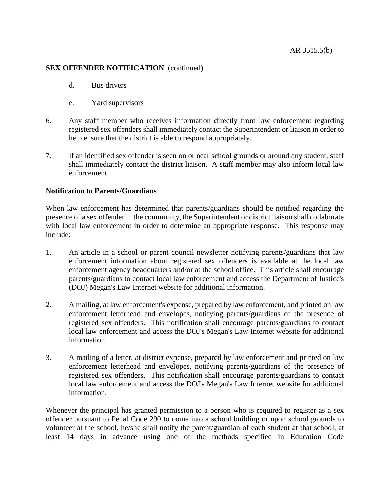### **SEX OFFENDER NOTIFICATION** (continued)

- d. Bus drivers
- e. Yard supervisors
- 6. Any staff member who receives information directly from law enforcement regarding registered sex offenders shall immediately contact the Superintendent or liaison in order to help ensure that the district is able to respond appropriately.
- 7. If an identified sex offender is seen on or near school grounds or around any student, staff shall immediately contact the district liaison. A staff member may also inform local law enforcement.

### **Notification to Parents/Guardians**

When law enforcement has determined that parents/guardians should be notified regarding the presence of a sex offender in the community, the Superintendent or district liaison shall collaborate with local law enforcement in order to determine an appropriate response. This response may include:

- 1. An article in a school or parent council newsletter notifying parents/guardians that law enforcement information about registered sex offenders is available at the local law enforcement agency headquarters and/or at the school office. This article shall encourage parents/guardians to contact local law enforcement and access the Department of Justice's (DOJ) Megan's Law Internet website for additional information.
- 2. A mailing, at law enforcement's expense, prepared by law enforcement, and printed on law enforcement letterhead and envelopes, notifying parents/guardians of the presence of registered sex offenders. This notification shall encourage parents/guardians to contact local law enforcement and access the DOJ's Megan's Law Internet website for additional information.
- 3. A mailing of a letter, at district expense, prepared by law enforcement and printed on law enforcement letterhead and envelopes, notifying parents/guardians of the presence of registered sex offenders. This notification shall encourage parents/guardians to contact local law enforcement and access the DOJ's Megan's Law Internet website for additional information.

Whenever the principal has granted permission to a person who is required to register as a sex offender pursuant to Penal Code 290 to come into a school building or upon school grounds to volunteer at the school, he/she shall notify the parent/guardian of each student at that school, at least 14 days in advance using one of the methods specified in Education Code